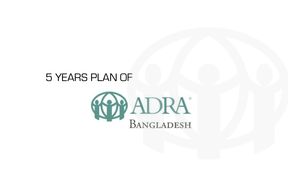## 5 YEARS PLAN OF



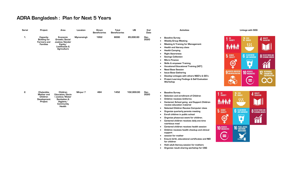## **ADRA Bangladesh : Plan for Next 5 Years**

## **Activities Linkage with SDG**





| <b>Serial</b> | Project                                                                  | Area                                                                                              | Location          | <b>Direct</b><br><b>Beneficiaries</b> | <b>Total</b><br><b>Beneficiaries</b> | U\$        | End<br>Date  | <b>Activities</b>                                                                                                                                                                                                                                                                                                                                                                                                                                                                                                                                                                                                                                                                                                                                            |
|---------------|--------------------------------------------------------------------------|---------------------------------------------------------------------------------------------------|-------------------|---------------------------------------|--------------------------------------|------------|--------------|--------------------------------------------------------------------------------------------------------------------------------------------------------------------------------------------------------------------------------------------------------------------------------------------------------------------------------------------------------------------------------------------------------------------------------------------------------------------------------------------------------------------------------------------------------------------------------------------------------------------------------------------------------------------------------------------------------------------------------------------------------------|
| 1.            | Capacity<br><b>Building for</b><br><b>Farmers</b> and<br><b>Families</b> | Economic<br>Growth/Social<br>Justice/Gender<br>Equity/<br>Livelihoods &<br>Agriculture            | <b>Mymensingh</b> | 1952                                  | 8000                                 | 85,000.00  | Dec-<br>2020 | <b>Baseline Survey</b><br>$\bullet$<br><b>Weekly Group Meeting</b><br>٠<br><b>Meeting &amp; Training for Management</b><br><b>Health and literacy class</b><br><b>Health Camping</b><br><b>Right Awareness</b><br><b>Savings Collection</b><br><b>Micro Finance</b><br><b>Skills &amp; empower Training</b><br><b>Vocational Educational Training (VET)</b><br><b>Need Base Session</b><br><b>Issue Base Gathering</b><br>Develop Linkages with others NGO's & GO's<br><b>Project Learning Findings &amp; Self Evaluation</b><br><b>Workshop</b>                                                                                                                                                                                                             |
| 2.            | Chalantika<br>Mother and<br><b>Children</b><br>Development<br>Project    | Children<br>Education/Socia<br>I Justice/Water<br>Sanitation &<br>Hygiene/<br>Community<br>Health | Mirpur 7          | 484                                   | 1452                                 | 102,000.00 | Dec-<br>2020 | <b>Baseline Survey</b><br>$\bullet$<br>Selection and enrollment of Children<br><b>Children receives Uniforms</b><br>Centered, School going and Support Children<br>receive education material<br>Selected Children Receive Computer class<br>$\bullet$<br>Organize quarterly parents meeting<br>Enroll children in public school<br>Organize phase-out event for children.<br>Centered children receives daily one time<br>nutritious meal<br>Centered children receives health session<br>$\bullet$<br>Children receives health checkup and clinical<br>support<br>session for mother<br>Ensure birth, educational certificates and NID<br>for children<br>Hold adult literacy session for mothers<br>$\bullet$<br>Organize result sharing workshop for CSG |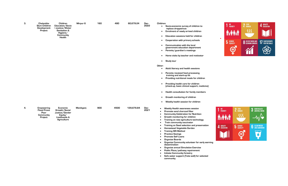| З. | Chalantika<br><b>Slum Children</b><br>Development<br>Project            | Children<br>Education/Socia<br>I Justice/Water<br>Sanitation &<br>Hygiene/<br>Community<br>Health | Mirpur 6  | 160 | 480  | 60,679.24  | Dec-<br>2022 | Children:<br>Socio-economic survey of children to<br>$\bullet$<br>replace dropped-out<br>Enrolment of newly arrived children<br>$\bullet$<br>Education sessions held for children<br>$\bullet$<br><b>Cooperation with primary schools</b><br>$\bullet$<br><b>Communication with the local</b><br>$\bullet$<br>government education department<br>Parents/guardian's meetings<br>$\bullet$<br>Home visits by teacher and motivator<br>$\bullet$<br><b>Study tour</b><br>$\bullet$<br>Other:<br>Adult literacy and health sessions<br>$\bullet$<br>Parents received food processing<br>$\bullet$<br>training and start-up kit<br>Providing nutritional meals for children<br>$\bullet$<br>Providing health care for children<br>$\bullet$<br>(check-up, basic clinical support, medicine)<br>Health consultation for family members<br>$\bullet$<br>Growth monitoring of children<br>$\bullet$<br>Weekly health session for children<br>$\bullet$ |
|----|-------------------------------------------------------------------------|---------------------------------------------------------------------------------------------------|-----------|-----|------|------------|--------------|-------------------------------------------------------------------------------------------------------------------------------------------------------------------------------------------------------------------------------------------------------------------------------------------------------------------------------------------------------------------------------------------------------------------------------------------------------------------------------------------------------------------------------------------------------------------------------------------------------------------------------------------------------------------------------------------------------------------------------------------------------------------------------------------------------------------------------------------------------------------------------------------------------------------------------------------------|
| 4. | <b>Empowering</b><br><b>Flood Prone</b><br>Poor<br>Community<br>Project | Economic<br>Growth/Social<br>Justice/Gender<br>Equity/<br>Livelihoods &<br><b>Agriculture</b>     | Manikganj | 900 | 4500 | 129,676.84 | Dec-<br>2021 | Weekly Health awareness session<br>٠<br>Promote sand charcoal filter<br>$\bullet$<br><b>Community Celebration for Nutrition</b><br>G<br>Growth monitoring for children<br>Training on new agriculture technology<br>Train community vaccinator<br><b>Training on Seed selection and preservation</b><br><b>Homestead Vegetable Garden</b><br><b>Training SRI Method</b><br><b>Practice Savings</b><br><b>Promote Self Loans</b><br><b>Organize Boards</b><br>Organize Community volunteer for early warning<br>dissemination<br><b>Organize annual Simulation Exercise</b><br>Public Place/pathway repairement<br><b>Initiate Community forestry</b><br>Safe water support (Tube well) for selected<br>community                                                                                                                                                                                                                                |



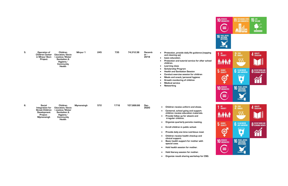| 5. | Operation of<br><b>Children Center</b><br>in Mirpur Slum<br>Project | <b>Children</b><br>Education/Socia<br>Justice/Water<br>Sanitation &<br>Hygiene/<br>Community<br>Health | Mirpur 1 | 245 | 735 | 74,312.38 | <b>Decemb</b><br>er -<br>2018 | Protection, provide daily life guidance (napping<br>and cleaning up)<br>basic education.<br>Protection and tutorial service for after school<br>children.<br>Learning class<br><b>Scholarship Program</b><br><b>Health and Sanitation Session</b><br>Conduct exercise session for children<br>Meals and snack/personal hygiene:<br>Growth monitoring of children<br><b>Medical service</b><br>Networking |
|----|---------------------------------------------------------------------|--------------------------------------------------------------------------------------------------------|----------|-----|-----|-----------|-------------------------------|----------------------------------------------------------------------------------------------------------------------------------------------------------------------------------------------------------------------------------------------------------------------------------------------------------------------------------------------------------------------------------------------------------|
|    |                                                                     |                                                                                                        |          |     |     |           |                               |                                                                                                                                                                                                                                                                                                                                                                                                          |

| 6. | <b>Social</b><br>Integration for                                        | Children<br>Education/Socia                                                   | <b>Mymensingh</b> | 572 | 1716 | 107,666.66 | Dec-<br>2020 | Children receive uniform and shoes.                                                                                                    |
|----|-------------------------------------------------------------------------|-------------------------------------------------------------------------------|-------------------|-----|------|------------|--------------|----------------------------------------------------------------------------------------------------------------------------------------|
|    | <b>Street Children</b><br>Development<br>Project -<br><b>Mymensingh</b> | l Justice/Water<br><b>Sanitation &amp;</b><br>Hygiene/<br>Community<br>Health |                   |     |      |            |              | Centered, school going and support<br>children receive education materials.<br>Provide follow up for absent and<br>irregular children. |
|    |                                                                         |                                                                               |                   |     |      |            |              | Organize quarterly parents meeting.                                                                                                    |

- **Enroll children in public school.**
- **Provide daily one time nutritious meal.**
- **Children receive health checkup and clinical support.**
- **Basic health support for mother with special case.**
- **Hold health session for mother.**
- **Hold literacy session for mother.**
- **Organize result sharing workshop for CSG.**

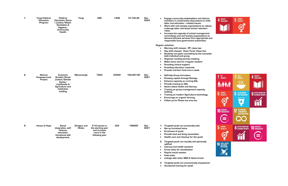| 7. | <b>Tongi Children</b><br>Education<br>Program | Children<br>Education/Socia<br>I Justice/Water<br>Sanitation &<br>Hygiene/<br>Community<br><b>Health</b>                     | Tongi                        | 280                                                                                 | 1400  | 72,103.36  | Dec-<br>2022 | Engage community stakeholders and district<br>members in constructive discussions on child<br>labor and education -related issues;<br>Work with civil society organizations to reduce<br>$\bullet$<br>underage labor and boost school retention<br>rates;<br>Increase the capacity of school management<br>committees and civil society organizations to<br>demand efficient services from appropriate and<br>responsible local government authorities; |
|----|-----------------------------------------------|------------------------------------------------------------------------------------------------------------------------------|------------------------------|-------------------------------------------------------------------------------------|-------|------------|--------------|---------------------------------------------------------------------------------------------------------------------------------------------------------------------------------------------------------------------------------------------------------------------------------------------------------------------------------------------------------------------------------------------------------------------------------------------------------|
|    |                                               |                                                                                                                              |                              |                                                                                     |       |            |              | <b>Regular activities:</b><br>Morning shift classes : PP- class two<br>Day shift classes: Class Three- Class five:<br>Students are given counseling by the counselor<br>both individual and group.<br>Organize monthly parents meeting.<br>Make home visit for irregular student<br>Providing clinical support.<br>Providing education materials<br>Provide nutrition food once a week.                                                                 |
| 8. | <b>Women</b><br>Empowerment<br>Project        | Economic<br>Growth/Social<br>Justice/Gender<br>Equity/<br>Livelihoods &<br>Agriculture and<br><b>Institution</b><br>building | <b>Mymensingh</b>            | 7650                                                                                | 24500 | 192,007.00 | Dec-<br>2021 | Self-help Group formation,<br>Growing capital through Savings,<br>Enhance capacity on running IGA,<br>Provide training on IGA,<br>Aware about health and literacy,<br>Training on group management capacity<br>building,<br>Training on modern Agriculture technology,<br>Encourage on organic farming,<br>Follow up for Phase out area etc.                                                                                                            |
| 9. | <b>House of Hope</b>                          | <b>Social</b><br>integration, self-<br>reliance,<br>education,<br><b>Vocational skill</b><br>development,                    | Dinajpur and<br><b>Dhaka</b> | 5-10 women in<br>the starting year<br>and increase<br>more in the<br>following year | 325   | 196995     | Dec-<br>2021 | Targeted youth are practically safe<br>Set up furnished home<br>Enrolment of youth<br>Provide food and living necessities<br>Health care and checkup for the youth<br>2.<br>Targeted youth are socially and spiritually<br>uplifted<br>Literacy and health sessions<br><b>Cross visits for socialization</b><br>Psycho social session<br><b>Field visits</b><br>Linkage with other NGO & Government                                                     |

**3. Targeted youth are economically empowered** • **Vocational training for youth**



## $2 \frac{\text{ZERO}}{\text{HUNGER}}$  $1^{10}$  poverty 4 QUALITY  $\overline{\mathcal{W}}$ **5** GENDER 6 CLEAN WATER<br>**6** AND SANITATION **8** DECENT WORK AND  $\mathfrak{S}$  $\overline{\mathbf{Q}}$  $\mathbf{\widetilde{\mathbf{u}}}$ **10 REDUCED 12** RESPONSIBLE<br>AND PRODUCTIO  $\left( \equiv \right)$ **8** DECENT WORK AND **5** GENDER 10 REDUCED  $\mathfrak{S}$ M  $\left( \equiv \right)$ **16 PEACE, JUSTICE**

**UTIONS**